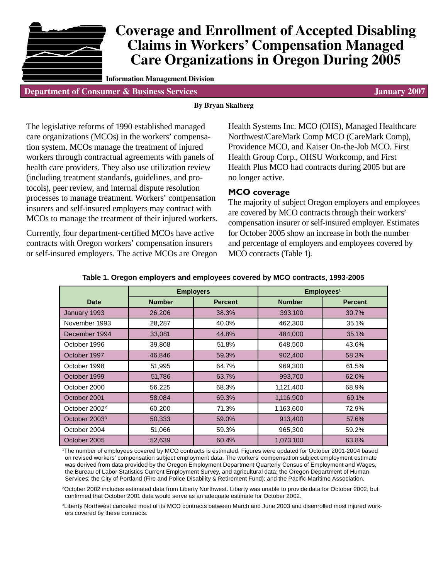

# **Coverage and Enrollment of Accepted Disabling Claims in Workers' Compensation Managed Care Organizations in Oregon During 2005**

**Information Management Division**

**Department of Consumer & Business Services January 2007**

#### **By Bryan Skalberg**

The legislative reforms of 1990 established managed care organizations (MCOs) in the workers' compensation system. MCOs manage the treatment of injured workers through contractual agreements with panels of health care providers. They also use utilization review (including treatment standards, guidelines, and protocols), peer review, and internal dispute resolution processes to manage treatment. Workers' compensation insurers and self-insured employers may contract with MCOs to manage the treatment of their injured workers.

Currently, four department-certified MCOs have active contracts with Oregon workers' compensation insurers or self-insured employers. The active MCOs are Oregon Health Systems Inc. MCO (OHS), Managed Healthcare Northwest/CareMark Comp MCO (CareMark Comp), Providence MCO, and Kaiser On-the-Job MCO. First Health Group Corp., OHSU Workcomp, and First Health Plus MCO had contracts during 2005 but are no longer active.

### **MCO coverage**

The majority of subject Oregon employers and employees are covered by MCO contracts through their workers' compensation insurer or self-insured employer. Estimates for October 2005 show an increase in both the number and percentage of employers and employees covered by MCO contracts (Table 1).

|                           | <b>Employers</b> |                | Employees <sup>1</sup> |                |  |
|---------------------------|------------------|----------------|------------------------|----------------|--|
| <b>Date</b>               | <b>Number</b>    | <b>Percent</b> | <b>Number</b>          | <b>Percent</b> |  |
| January 1993              | 26,206           | 38.3%          | 393,100                | 30.7%          |  |
| November 1993             | 28,287           | 40.0%          | 462,300                | 35.1%          |  |
| December 1994             | 33,081           | 44.8%          | 484,000                | 35.1%          |  |
| October 1996              | 39,868           | 51.8%          | 648,500                | 43.6%          |  |
| October 1997              | 46,846           | 59.3%          | 902,400                | 58.3%          |  |
| October 1998              | 51,995           | 64.7%          | 969,300                | 61.5%          |  |
| October 1999              | 51,786           | 63.7%          | 993,700                | 62.0%          |  |
| October 2000              | 56,225           | 68.3%          | 1,121,400              | 68.9%          |  |
| October 2001              | 58,084           | 69.3%          | 1,116,900              | 69.1%          |  |
| October 2002 <sup>2</sup> | 60,200           | 71.3%          | 1,163,600              | 72.9%          |  |
| October 2003 <sup>3</sup> | 50,333           | 59.0%          | 913,400                | 57.6%          |  |
| October 2004              | 51,066           | 59.3%          | 965,300                | 59.2%          |  |
| October 2005              | 52,639           | 60.4%          | 1,073,100              | 63.8%          |  |

#### **Table 1. Oregon employers and employees covered by MCO contracts, 1993-2005**

1 The number of employees covered by MCO contracts is estimated. Figures were updated for October 2001-2004 based on revised workers' compensation subject employment data. The workers' compensation subject employment estimate was derived from data provided by the Oregon Employment Department Quarterly Census of Employment and Wages, the Bureau of Labor Statistics Current Employment Survey, and agricultural data; the Oregon Department of Human Services; the City of Portland (Fire and Police Disability & Retirement Fund); and the Pacific Maritime Association.

2October 2002 includes estimated data from Liberty Northwest. Liberty was unable to provide data for October 2002, but confirmed that October 2001 data would serve as an adequate estimate for October 2002.

3Liberty Northwest canceled most of its MCO contracts between March and June 2003 and disenrolled most injured workers covered by these contracts.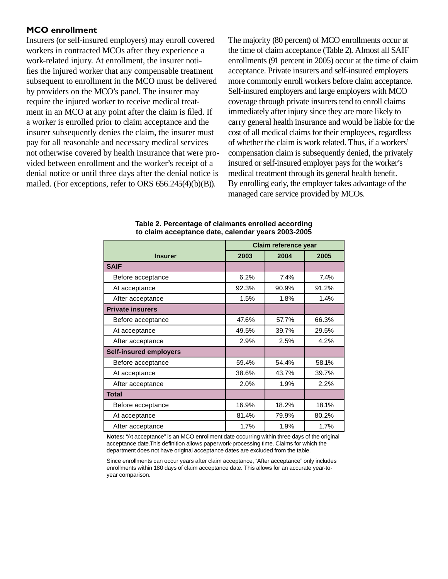#### **MCO enrollment**

Insurers (or self-insured employers) may enroll covered workers in contracted MCOs after they experience a work-related injury. At enrollment, the insurer notifies the injured worker that any compensable treatment subsequent to enrollment in the MCO must be delivered by providers on the MCO's panel. The insurer may require the injured worker to receive medical treatment in an MCO at any point after the claim is filed. If a worker is enrolled prior to claim acceptance and the insurer subsequently denies the claim, the insurer must pay for all reasonable and necessary medical services not otherwise covered by health insurance that were provided between enrollment and the worker's receipt of a denial notice or until three days after the denial notice is mailed. (For exceptions, refer to ORS 656.245(4)(b)(B)).

The majority (80 percent) of MCO enrollments occur at the time of claim acceptance (Table 2). Almost all SAIF enrollments (91 percent in 2005) occur at the time of claim acceptance. Private insurers and self-insured employers more commonly enroll workers before claim acceptance. Self-insured employers and large employers with MCO coverage through private insurers tend to enroll claims immediately after injury since they are more likely to carry general health insurance and would be liable for the cost of all medical claims for their employees, regardless of whether the claim is work related. Thus, if a workers' compensation claim is subsequently denied, the privately insured or self-insured employer pays for the worker's medical treatment through its general health benefit. By enrolling early, the employer takes advantage of the managed care service provided by MCOs.

|                               | Claim reference year |       |       |
|-------------------------------|----------------------|-------|-------|
| <b>Insurer</b>                | 2003                 | 2004  | 2005  |
| <b>SAIF</b>                   |                      |       |       |
| Before acceptance             | 6.2%                 | 7.4%  | 7.4%  |
| At acceptance                 | 92.3%                | 90.9% | 91.2% |
| After acceptance              | 1.5%                 | 1.8%  | 1.4%  |
| <b>Private insurers</b>       |                      |       |       |
| Before acceptance             | 47.6%                | 57.7% | 66.3% |
| At acceptance                 | 49.5%                | 39.7% | 29.5% |
| After acceptance              | 2.9%                 | 2.5%  | 4.2%  |
| <b>Self-insured employers</b> |                      |       |       |
| Before acceptance             | 59.4%                | 54.4% | 58.1% |
| At acceptance                 | 38.6%                | 43.7% | 39.7% |
| After acceptance              | 2.0%                 | 1.9%  | 2.2%  |
| <b>Total</b>                  |                      |       |       |
| Before acceptance             | 16.9%                | 18.2% | 18.1% |
| At acceptance                 | 81.4%                | 79.9% | 80.2% |
| After acceptance              | 1.7%                 | 1.9%  | 1.7%  |

**Table 2. Percentage of claimants enrolled according to claim acceptance date, calendar years 2003-2005**

**Notes:** "At acceptance" is an MCO enrollment date occurring within three days of the original acceptance date.This definition allows paperwork-processing time. Claims for which the department does not have original acceptance dates are excluded from the table.

Since enrollments can occur years after claim acceptance, "After acceptance" only includes enrollments within 180 days of claim acceptance date. This allows for an accurate year-toyear comparison.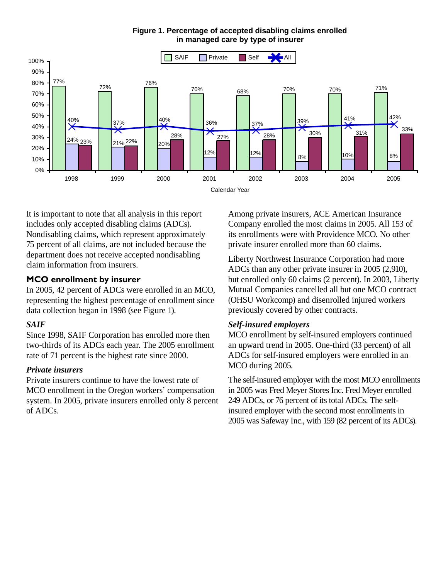

**Figure 1. Percentage of accepted disabling claims enrolled in managed care by type of insurer**

It is important to note that all analysis in this report includes only accepted disabling claims (ADCs). Nondisabling claims, which represent approximately 75 percent of all claims, are not included because the department does not receive accepted nondisabling claim information from insurers.

## **MCO enrollment by insurer**

In 2005, 42 percent of ADCs were enrolled in an MCO, representing the highest percentage of enrollment since data collection began in 1998 (see Figure 1).

## *SAIF*

Since 1998, SAIF Corporation has enrolled more then two-thirds of its ADCs each year. The 2005 enrollment rate of 71 percent is the highest rate since 2000.

## *Private insurers*

Private insurers continue to have the lowest rate of MCO enrollment in the Oregon workers' compensation system. In 2005, private insurers enrolled only 8 percent of ADCs.

Among private insurers, ACE American Insurance Company enrolled the most claims in 2005. All 153 of its enrollments were with Providence MCO. No other private insurer enrolled more than 60 claims.

Liberty Northwest Insurance Corporation had more ADCs than any other private insurer in 2005 (2,910), but enrolled only 60 claims (2 percent). In 2003, Liberty Mutual Companies cancelled all but one MCO contract (OHSU Workcomp) and disenrolled injured workers previously covered by other contracts.

## *Self-insured employers*

MCO enrollment by self-insured employers continued an upward trend in 2005. One-third (33 percent) of all ADCs for self-insured employers were enrolled in an MCO during 2005.

The self-insured employer with the most MCO enrollments in 2005 was Fred Meyer Stores Inc. Fred Meyer enrolled 249 ADCs, or 76 percent of its total ADCs. The selfinsured employer with the second most enrollments in 2005 was Safeway Inc., with 159 (82 percent of its ADCs).